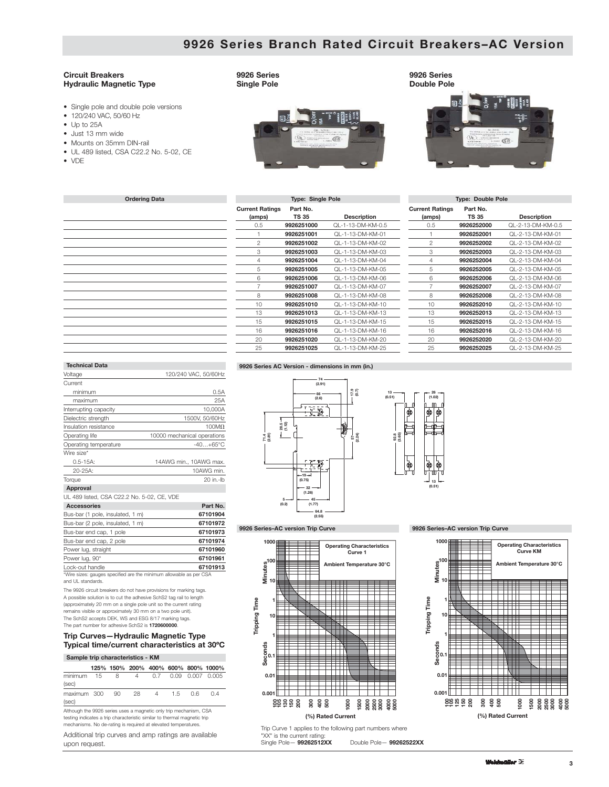## **9926 Series Branch Rated Circuit Breakers–AC Version**

**9926 Series**

#### **Circuit Breakers Hydraulic Magnetic Type**

- Single pole and double pole versions
- 120/240 VAC, 50/60 Hz
- Up to 25A
- Just 13 mm wide
- Mounts on 35mm DIN-rail
- UL 489 listed, CSA C22.2 No. 5-02, CE
- VDE



**9926 Series Single Pole**



| <b>Ordering Data</b> |                                  | <b>Type: Single Pole</b> |                    |                                  | <b>Type: Double Pole</b> |                    |
|----------------------|----------------------------------|--------------------------|--------------------|----------------------------------|--------------------------|--------------------|
|                      | <b>Current Ratings</b><br>(amps) | Part No.<br><b>TS 35</b> | <b>Description</b> | <b>Current Ratings</b><br>(amps) | Part No.<br><b>TS 35</b> | <b>Description</b> |
|                      | 0.5                              | 9926251000               | QL-1-13-DM-KM-0.5  | 0.5                              | 9926252000               | QL-2-13-DM-KM      |
|                      |                                  | 9926251001               | QL-1-13-DM-KM-01   |                                  | 9926252001               | QL-2-13-DM-KM      |
|                      | $\overline{2}$                   | 9926251002               | QL-1-13-DM-KM-02   | 2                                | 9926252002               | QL-2-13-DM-KM      |
|                      | 3                                | 9926251003               | QL-1-13-DM-KM-03   | 3                                | 9926252003               | QL-2-13-DM-KM      |
|                      | 4                                | 9926251004               | QL-1-13-DM-KM-04   | 4                                | 9926252004               | QL-2-13-DM-KM      |
|                      | 5                                | 9926251005               | QL-1-13-DM-KM-05   | 5                                | 9926252005               | QL-2-13-DM-KM      |
|                      | 6                                | 9926251006               | QL-1-13-DM-KM-06   | 6                                | 9926252006               | QL-2-13-DM-KM      |
|                      |                                  | 9926251007               | QL-1-13-DM-KM-07   |                                  | 9926252007               | QL-2-13-DM-KN      |
|                      | 8                                | 9926251008               | QL-1-13-DM-KM-08   | 8                                | 9926252008               | QL-2-13-DM-KM      |
|                      | 10                               | 9926251010               | QL-1-13-DM-KM-10   | 10                               | 9926252010               | QL-2-13-DM-KM      |
|                      | 13                               | 9926251013               | QL-1-13-DM-KM-13   | 13                               | 9926252013               | QL-2-13-DM-KM      |
|                      | 15                               | 9926251015               | QL-1-13-DM-KM-15   | 15                               | 9926252015               | QL-2-13-DM-KM      |
|                      | 16                               | 9926251016               | QL-1-13-DM-KM-16   | 16                               | 9926252016               | QL-2-13-DM-KN      |
|                      | 20                               | 9926251020               | QL-1-13-DM-KM-20   | 20                               | 9926252020               | QL-2-13-DM-KM      |
|                      | 25                               | 9926251025               | QL-1-13-DM-KM-25   | 25                               | 9926252025               | QL-2-13-DM-KM      |

**9926 Series AC Version - dimensions in mm (in.)**

|                    | <b>Type: Single Pole</b> |                    |                                  | <b>Type: Double Pole</b> |                    |
|--------------------|--------------------------|--------------------|----------------------------------|--------------------------|--------------------|
| ıt Ratings<br>mps) | Part No.<br><b>TS 35</b> | <b>Description</b> | <b>Current Ratings</b><br>(amps) | Part No.<br><b>TS 35</b> | <b>Description</b> |
| 0.5                | 9926251000               | QI -1-13-DM-KM-0.5 | 0.5                              | 9926252000               | OI-2-13-DM-KM-0.5  |
|                    | 9926251001               | OI -1-13-DM-KM-01  | 1                                | 9926252001               | QL-2-13-DM-KM-01   |
| $\overline{2}$     | 9926251002               | QL-1-13-DM-KM-02   | $\overline{2}$                   | 9926252002               | QL-2-13-DM-KM-02   |
| 3                  | 9926251003               | QL-1-13-DM-KM-03   | 3                                | 9926252003               | QL-2-13-DM-KM-03   |
| 4                  | 9926251004               | OI -1-13-DM-KM-04  | 4                                | 9926252004               | QL-2-13-DM-KM-04   |
| 5                  | 9926251005               | OI -1-13-DM-KM-05  | 5                                | 9926252005               | OI -2-13-DM-KM-05  |
| 6                  | 9926251006               | OI -1-13-DM-KM-06  | 6                                | 9926252006               | QL-2-13-DM-KM-06   |
| 7                  | 9926251007               | OI -1-13-DM-KM-07  | 7                                | 9926252007               | QL-2-13-DM-KM-07   |
| 8                  | 9926251008               | QL-1-13-DM-KM-08   | 8                                | 9926252008               | QL-2-13-DM-KM-08   |
| 10                 | 9926251010               | OI -1-13-DM-KM-10  | 10                               | 9926252010               | OI -2-13-DM-KM-10  |
| 13                 | 9926251013               | QL-1-13-DM-KM-13   | 13                               | 9926252013               | QL-2-13-DM-KM-13   |
| 15                 | 9926251015               | OI -1-13-DM-KM-15  | 15                               | 9926252015               | OI -2-13-DM-KM-15  |
| 16                 | 9926251016               | QL-1-13-DM-KM-16   | 16                               | 9926252016               | QL-2-13-DM-KM-16   |
| 20                 | 9926251020               | OI -1-13-DM-KM-20  | 20                               | 9926252020               | QL-2-13-DM-KM-20   |
| 25                 | 9926251025               | OI -1-13-DM-KM-25  | 25                               | 9926252025               | QL-2-13-DM-KM-25   |

| <b>Technical Data</b> |  |
|-----------------------|--|
|                       |  |

| Voltage               | 120/240 VAC, 50/60Hz        |
|-----------------------|-----------------------------|
| Current               |                             |
| minimum               | 0.5A                        |
| maximum               | 25A                         |
| Interrupting capacity | 10.000A                     |
| Dielectric strength   | 1500V, 50/60Hz              |
| Insulation resistance | $100M\Omega$                |
| Operating life        | 10000 mechanical operations |
| Operating temperature | $-40+65^{\circ}C$           |

| Wire size*    |                        |
|---------------|------------------------|
| $0.5 - 15A$ : | 14AWG min., 10AWG max. |
| $20-25A$ :    | 10AWG min.             |
| Toraue        | 20 in.-lb              |
|               |                        |

**Approval** UL 489 listed, CSA C22.2 No. 5-02, CE, VDE

| <b>Accessories</b>                                                 | Part No. |
|--------------------------------------------------------------------|----------|
| Bus-bar (1 pole, insulated, 1 m)                                   | 67101904 |
| Bus-bar (2 pole, insulated, 1 m)                                   | 67101972 |
| Bus-bar end cap, 1 pole                                            | 67101973 |
| Bus-bar end cap, 2 pole                                            | 67101974 |
| Power lug, straight                                                | 67101960 |
| Power lug, 90°                                                     | 67101961 |
| Lock-out handle                                                    | 67101913 |
| *Wire sizes: gauges specified are the minimum allowable as per CSA |          |

and UL standards.

The 9926 circuit breakers do not have provisions for marking tags. A possible solution is to cut the adhesive SchS2 tag rail to length (approximately 20 mm on a single pole unit so the current rating remains visible or approximately 30 mm on a two pole unit). The SchS2 accepts DEK, WS and ESG 8/17 marking tags. The part number for adhesive SchS2 is **1720600000**.

#### **Trip Curves—Hydraulic Magnetic Type Typical time/current characteristics at 30ºC**

#### **Sample trip characteristics - KM**

|                                              |  |                 |  | 125% 150% 200% 400% 600% 800% 1000% |
|----------------------------------------------|--|-----------------|--|-------------------------------------|
| minimum 15 8 4 0.7 0.09 0.007 0.005<br>(sec) |  |                 |  |                                     |
| maximum 300<br>(sec)                         |  | 90 28 4 1.5 0.6 |  | 04                                  |

Although the 9926 series uses a magnetic only trip mechanism, CSA testing indicates a trip characteristic similar to thermal magnetic trip mechanisms. No de-rating is required at elevated temperatures.

Additional trip curves and amp ratings are available upon request.



**9926 Series–AC version Trip Curve**



Single Pole— **99262512XX** Double Pole— **99262522XX**



**26 (1.02)**

≸

ේ

**13 (0.51)**

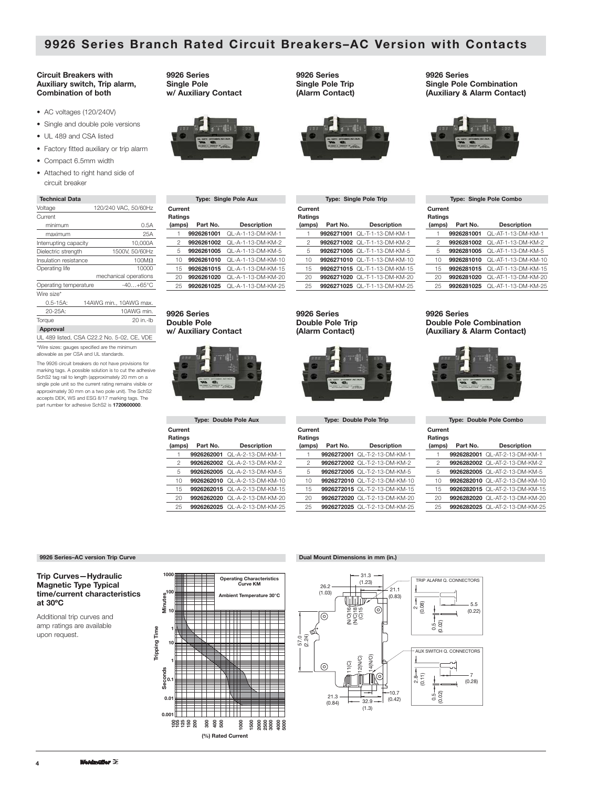## **9926 Series Branch Rated Circuit Breakers–AC Version with Contacts**

#### **Circuit Breakers with Auxiliary switch, Trip alarm, Combination of both**

- AC voltages (120/240V)
- Single and double pole versions
- UL 489 and CSA listed
- Factory fitted auxiliary or trip alarm
- Compact 6.5mm width
- Attached to right hand side of circuit breaker

#### **Technical Data**

| Voltage                                          | 120/240 VAC, 50/60Hz                  |
|--------------------------------------------------|---------------------------------------|
| Current                                          |                                       |
| minimum                                          | 0.5A                                  |
| maximum                                          | 25A                                   |
| Interrupting capacity                            | 10,000A                               |
| Dielectric strength                              | 1500V, 50/60Hz                        |
| Insulation resistance                            | $100M\Omega$                          |
| Operating life                                   | 10000                                 |
|                                                  | mechanical operations                 |
| Operating temperature                            | $-40+65^{\circ}C$                     |
| Wire size*                                       |                                       |
| $\cap$ $\subset$ $\uparrow$ $\subset$ $\wedge$ . | $11000 \text{ min} 10000 \text{ max}$ |

| Approval      |                        |
|---------------|------------------------|
| Toraue        | 20 in.-lb              |
|               |                        |
| $20 - 25A$ :  | 10AWG min.             |
| $0.5 - 15A$ : | 14AWG min., 10AWG max. |

\*Wire sizes: gauges specified are the minimum allowable as per CSA and UL standards. UL 489 listed, CSA C22.2 No. 5-02, CE, VDE

The 9926 circuit breakers do not have provisions for marking tags. A possible solution is to cut the adhesive SchS2 tag rail to length (approximately 20 mm on a single pole unit so the current rating remains visible or approximately 30 mm on a two pole unit). The SchS2 accepts DEK, WS and ESG 8/17 marking tags. The part number for adhesive SchS2 is **1720600000**.

**9926 Series Single Pole w/ Auxiliary Contact**



#### **Type: Single Pole Aux Current Ratings (amps) Part No. Description** 1 **9926261001** QL-A-1-13-DM-KM-1 2 **9926261002** QL-A-1-13-DM-KM-2 5 **9926261005** QL-A-1-13-DM-KM-5 10 **9926261010** QL-A-1-13-DM-KM-10 15 **9926261015** QL-A-1-13-DM-KM-15

|  | 15 9926261015 (JL-A-1-13-DM-KM-15 |
|--|-----------------------------------|
|  | 20 9926261020 OL-A-1-13-DM-KM-20  |
|  | 25 9926261025 OL-A-1-13-DM-KM-25  |
|  |                                   |

#### **9926 Series Double Pole w/ Auxiliary Contact**



**Type: Double Pole Aux**

|                           |          | $.7801$ $-0.00010$ $-0.001$   |
|---------------------------|----------|-------------------------------|
| Current<br><b>Ratings</b> |          |                               |
| (amps)                    | Part No. | <b>Description</b>            |
| 1                         |          | 9926262001 QL-A-2-13-DM-KM-1  |
| 2                         |          | 9926262002 OI-A-2-13-DM-KM-2  |
| 5                         |          | 9926262005 OI-A-2-13-DM-KM-5  |
| 10                        |          | 9926262010 QL-A-2-13-DM-KM-10 |
| 15                        |          | 9926262015 QL-A-2-13-DM-KM-15 |
| 20                        |          | 9926262020 QL-A-2-13-DM-KM-20 |
| 25                        |          | 9926262025 QL-A-2-13-DM-KM-25 |
|                           |          |                               |

**9926 Series Single Pole Trip (Alarm Contact)**



#### **Type: Single Pole Trip Current Ratings (amps) Part No. Description** 1 **9926271001** QL-T-1-13-DM-KM-1 2 **9926271002** QL-T-1-13-DM-KM-2 5 **9926271005** QL-T-1-13-DM-KM-5 10 **9926271010** QL-T-1-13-DM-KM-10 15 **9926271015** QL-T-1-13-DM-KM-15 20 **9926271020** QL-T-1-13-DM-KM-20 25 **9926271025** QL-T-1-13-DM-KM-25

**9926 Series Double Pole Trip (Alarm Contact)**



|                    |          | <b>Type: Double Pole Trip</b> |
|--------------------|----------|-------------------------------|
| Current<br>Ratings |          |                               |
| (amps)             | Part No. | <b>Description</b>            |
| 1                  |          | 9926272001 OI-T-2-13-DM-KM-1  |
| 2                  |          | 9926272002 OI-T-2-13-DM-KM-2  |
| 5                  |          | 9926272005 OI-T-2-13-DM-KM-5  |
| 10                 |          | 9926272010 OI-T-2-13-DM-KM-10 |
| 15                 |          | 9926272015 QL-T-2-13-DM-KM-15 |
| 20                 |          | 9926272020 QL-T-2-13-DM-KM-20 |
| 25                 |          | 9926272025 QL-T-2-13-DM-KM-25 |

**9926 Series Single Pole Combination (Auxiliary & Alarm Contact)**



| Type: Single Pole Combo |            |                    |  |  |  |  |  |
|-------------------------|------------|--------------------|--|--|--|--|--|
| Current                 |            |                    |  |  |  |  |  |
| <b>Ratings</b>          |            |                    |  |  |  |  |  |
|                         |            |                    |  |  |  |  |  |
| (amps)                  | Part No.   | <b>Description</b> |  |  |  |  |  |
|                         | 9926281001 | QL-AT-1-13-DM-KM-1 |  |  |  |  |  |

|    |            | 3920201002 GE-APPIO-DIVI-NIVI-2 |
|----|------------|---------------------------------|
| 5  | 9926281005 | QL-AT-1-13-DM-KM-5              |
| 10 | 9926281010 | QL-AT-1-13-DM-KM-10             |
| 15 | 9926281015 | QL-AT-1-13-DM-KM-15             |
| 20 | 9926281020 | QL-AT-1-13-DM-KM-20             |
| 25 | 9926281025 | QL-AT-1-13-DM-KM-25             |

#### **9926 Series Double Pole Combination (Auxiliary & Alarm Contact)**



|  | Type: Double Pole Combo |
|--|-------------------------|
|  |                         |

## **Current**

| Ratings |          |                                |
|---------|----------|--------------------------------|
| (amps)  | Part No. | <b>Description</b>             |
|         |          | 9926282001 QL-AT-2-13-DM-KM-1  |
| 2       |          | 9926282002 QL-AT-2-13-DM-KM-2  |
| 5       |          | 9926282005 QL-AT-2-13-DM-KM-5  |
| 10      |          | 9926282010 QL-AT-2-13-DM-KM-10 |
| 15      |          | 9926282015 QL-AT-2-13-DM-KM-15 |
| 20      |          | 9926282020 QL-AT-2-13-DM-KM-20 |
| 25      |          | 9926282025 QL-AT-2-13-DM-KM-25 |
|         |          |                                |

#### **9926 Series–AC version Trip Curve**

**Trip Curves—Hydraulic Magnetic Type Typical time/current characteristics at 30ºC**

Additional trip curves and amp ratings are available upon request.



#### **Dual Mount Dimensions in mm (in.)**

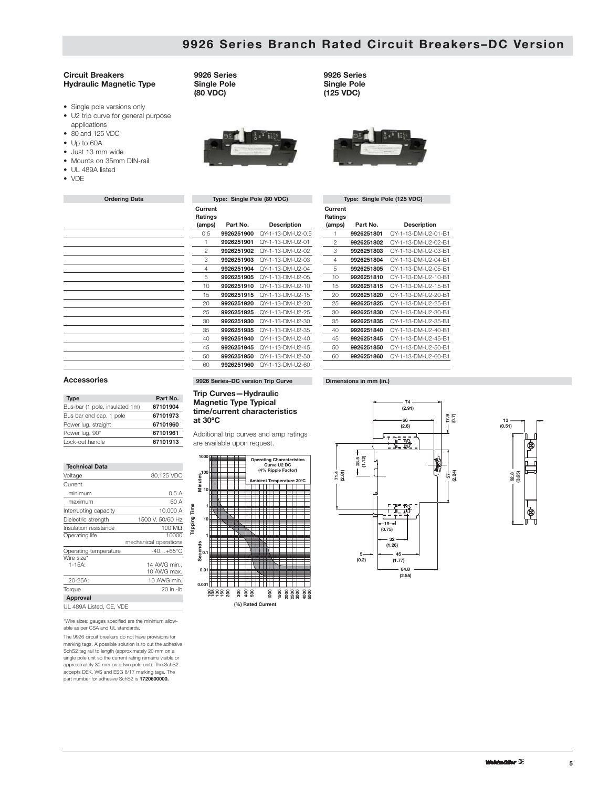## **9926 Series Branch Rated Circuit Breakers–DC Version**

#### **Circuit Breakers Hydraulic Magnetic Type**

- Single pole versions only
- U2 trip curve for general purpose applications

**Ordering Data** 

- 80 and 125 VDC
- Up to 60A
- Just 13 mm wide
- Mounts on 35mm DIN-rail
- UL 489A listed
- VDE

**The Co** 

| 9926 Series        |
|--------------------|
| <b>Single Pole</b> |
| (80 VDC)           |

**9926 Series Single Pole (125 VDC)**





**Type: Single Pole (125 VDC)** 

| Type: Single Pole (80 VDC) |            |                    |  |  |  |  |
|----------------------------|------------|--------------------|--|--|--|--|
| Current<br>Ratings         |            |                    |  |  |  |  |
| (amps)                     | Part No.   | <b>Description</b> |  |  |  |  |
| 0.5                        | 9926251900 | QY-1-13-DM-U2-0.5  |  |  |  |  |
| 1                          | 9926251901 | QY-1-13-DM-U2-01   |  |  |  |  |
| 2                          | 9926251902 | QY-1-13-DM-U2-02   |  |  |  |  |
| З                          | 9926251903 | QY-1-13-DM-U2-03   |  |  |  |  |
| 4                          | 9926251904 | QY-1-13-DM-U2-04   |  |  |  |  |
| 5                          | 9926251905 | QY-1-13-DM-U2-05   |  |  |  |  |
| 10                         | 9926251910 | QY-1-13-DM-U2-10   |  |  |  |  |
| 15                         | 9926251915 | QY-1-13-DM-U2-15   |  |  |  |  |
| 20                         | 9926251920 | QY-1-13-DM-U2-20   |  |  |  |  |
| 25                         | 9926251925 | QY-1-13-DM-U2-25   |  |  |  |  |
| 30                         | 9926251930 | OY-1-13-DM-U2-30   |  |  |  |  |
| 35                         | 9926251935 | QY-1-13-DM-U2-35   |  |  |  |  |
| 40                         | 9926251940 | QY-1-13-DM-U2-40   |  |  |  |  |
| 45                         | 9926251945 | QY-1-13-DM-U2-45   |  |  |  |  |
| 50                         | 9926251950 | QY-1-13-DM-U2-50   |  |  |  |  |
| 60                         | 9926251960 | QY-1-13-DM-U2-60   |  |  |  |  |

| Current |            |                     |
|---------|------------|---------------------|
| Ratings |            |                     |
| (amps)  | Part No.   | <b>Description</b>  |
| 1       | 9926251801 | QY-1-13-DM-U2-01-B1 |
| 2       | 9926251802 | QY-1-13-DM-U2-02-B1 |
| 3       | 9926251803 | QY-1-13-DM-U2-03-B1 |
| 4       | 9926251804 | QY-1-13-DM-U2-04-B1 |
| 5       | 9926251805 | QY-1-13-DM-U2-05-B1 |
| 10      | 9926251810 | QY-1-13-DM-U2-10-B1 |
| 15      | 9926251815 | QY-1-13-DM-U2-15-B1 |
| 20      | 9926251820 | QY-1-13-DM-U2-20-B1 |
| 25      | 9926251825 | QY-1-13-DM-U2-25-B1 |
| 30      | 9926251830 | QY-1-13-DM-U2-30-B1 |
| 35      | 9926251835 | QY-1-13-DM-U2-35-B1 |
| 40      | 9926251840 | QY-1-13-DM-U2-40-B1 |
| 45      | 9926251845 | QY-1-13-DM-U2-45-B1 |
| 50      | 9926251850 | QY-1-13-DM-U2-50-B1 |
| 60      | 9926251860 | QY-1-13-DM-U2-60-B1 |
|         |            |                     |

#### **Accessories**

| <b>Type</b>                    | Part No. |
|--------------------------------|----------|
| Bus-bar (1 pole, insulated 1m) | 67101904 |
| Bus bar end cap, 1 pole        | 67101973 |
| Power lug, straight            | 67101960 |
| Power lug, 90°                 | 67101961 |
| Lock-out handle                | 67101913 |

| <b>Technical Data</b>   |                       |
|-------------------------|-----------------------|
| Voltage                 | 80,125 VDC            |
| Current                 |                       |
| minimum                 | 0.5 A                 |
| maximum                 | 60 A                  |
| Interrupting capacity   | 10,000 A              |
| Dielectric strength     | 1500 V, 50/60 Hz      |
| Insulation resistance   | 100 M $\Omega$        |
| Operating life          | 10000                 |
|                         | mechanical operations |
| Operating temperature   | $-40+65^{\circ}C$     |
| Wire size*              |                       |
| $1 - 15A$ :             | 14 AWG min            |
|                         | 10 AWG max.           |
| $20 - 25A$ :            | 10 AWG min.           |
| Torque                  | 20 in.-lb             |
| Approval                |                       |
| UL 489A Listed, CE, VDE |                       |

\*Wire sizes: gauges specified are the minimum allow-able as per CSA and UL standards.

The 9926 circuit breakers do not have provisions for marking tags. A possible solution is to cut the adhesive SchS2 tag rail to length (approximately 20 mm on a single pole unit so the current rating remains visible or approximately 30 mm on a two pole unit). The SchS2 accepts DEK, WS and ESG 8/17 marking tags. The part number for adhesive SchS2 is **1720600000.**

**9926 Series–DC version Trip Curve**

#### **Trip Curves—Hydraulic Magnetic Type Typical time/current characteristics at 30ºC**

Additional trip curves and amp ratings are available upon request.





m.



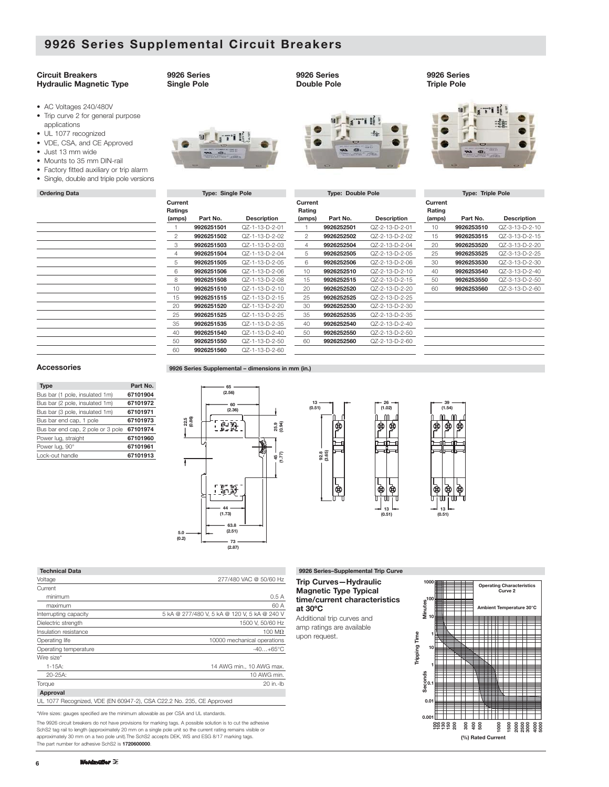## **9926 Series Supplemental Circuit Breakers**

#### **Circuit Breakers Hydraulic Magnetic Type**

- AC Voltages 240/480V
- Trip curve 2 for general purpose applications
- UL 1077 recognized
- VDE, CSA, and CE Approved
- Just 13 mm wide
- Mounts to 35 mm DIN-rail
- Factory fitted auxiliary or trip alarm
- Single, double and triple pole versions

#### **Ordering Data**

#### **9926 Series Single Pole**

**BELIEVE** 

### **9926 Series Double Pole**



**Type: Single Pole Type: Double Pole** 

|            |                    | Current<br>Rating |            |                    | Current<br>Rating |            |                    |
|------------|--------------------|-------------------|------------|--------------------|-------------------|------------|--------------------|
| Part No.   | <b>Description</b> | (amps)            | Part No.   | <b>Description</b> | (amps)            | Part No.   | <b>Description</b> |
| 9926251501 | QZ-1-13-D-2-01     |                   | 9926252501 | QZ-2-13-D-2-01     | 10                | 9926253510 | QZ-3-13-D-2-1      |
| 9926251502 | QZ-1-13-D-2-02     | $\mathfrak{D}$    | 9926252502 | QZ-2-13-D-2-02     | 15                | 9926253515 | QZ-3-13-D-2-1      |
| 9926251503 | QZ-1-13-D-2-03     | 4                 | 9926252504 | QZ-2-13-D-2-04     | 20                | 9926253520 | QZ-3-13-D-2-2      |
| 9926251504 | QZ-1-13-D-2-04     | 5                 | 9926252505 | QZ-2-13-D-2-05     | 25                | 9926253525 | QZ-3-13-D-2-2      |
| 9926251505 | QZ-1-13-D-2-05     | 6                 | 9926252506 | QZ-2-13-D-2-06     | 30                | 9926253530 | QZ-3-13-D-2-0      |
| 9926251506 | QZ-1-13-D-2-06     | 10                | 9926252510 | QZ-2-13-D-2-10     | 40                | 9926253540 | QZ-3-13-D-2-4      |
| 9926251508 | QZ-1-13-D-2-08     | 15                | 9926252515 | QZ-2-13-D-2-15     | 50                | 9926253550 | QZ-3-13-D-2-8      |
| 9926251510 | QZ-1-13-D-2-10     | 20                | 9926252520 | QZ-2-13-D-2-20     | 60                | 9926253560 | QZ-3-13-D-2-6      |
| 9926251515 | QZ-1-13-D-2-15     | 25                | 9926252525 | QZ-2-13-D-2-25     |                   |            |                    |
| 9926251520 | QZ-1-13-D-2-20     | 30                | 9926252530 | QZ-2-13-D-2-30     |                   |            |                    |
| 9926251525 | QZ-1-13-D-2-25     | 35                | 9926252535 | QZ-2-13-D-2-35     |                   |            |                    |
| 9926251535 | QZ-1-13-D-2-35     | 40                | 9926252540 | QZ-2-13-D-2-40     |                   |            |                    |
| 9926251540 | QZ-1-13-D-2-40     | 50                | 9926252550 | QZ-2-13-D-2-50     |                   |            |                    |
| 9926251550 | QZ-1-13-D-2-50     | 60                | 9926252560 | QZ-2-13-D-2-60     |                   |            |                    |
| 9926251560 | QZ-1-13-D-2-60     |                   |            |                    |                   |            |                    |
|            |                    |                   |            |                    |                   |            |                    |

**13 (0.51)**

**92.8 (3.65)**

| Type: Single Pole        |            | Type: Double Pole  |                             |            | Type: Triple Pole  |                             |            |                    |
|--------------------------|------------|--------------------|-----------------------------|------------|--------------------|-----------------------------|------------|--------------------|
| urrent<br>atings<br>mps) | Part No.   | <b>Description</b> | Current<br>Rating<br>(amps) | Part No.   | <b>Description</b> | Current<br>Rating<br>(amps) | Part No.   | <b>Description</b> |
|                          | 9926251501 | QZ-1-13-D-2-01     |                             | 9926252501 | QZ-2-13-D-2-01     | 10                          | 9926253510 | QZ-3-13-D-2-10     |
| $\overline{c}$           | 9926251502 | QZ-1-13-D-2-02     | $\overline{2}$              | 9926252502 | QZ-2-13-D-2-02     | 15                          | 9926253515 | QZ-3-13-D-2-15     |
| 3                        | 9926251503 | QZ-1-13-D-2-03     | 4                           | 9926252504 | QZ-2-13-D-2-04     | 20                          | 9926253520 | QZ-3-13-D-2-20     |
| 4                        | 9926251504 | QZ-1-13-D-2-04     | 5                           | 9926252505 | QZ-2-13-D-2-05     | 25                          | 9926253525 | QZ-3-13-D-2-25     |
| 5                        | 9926251505 | QZ-1-13-D-2-05     | 6                           | 9926252506 | QZ-2-13-D-2-06     | 30                          | 9926253530 | QZ-3-13-D-2-30     |
| 6                        | 9926251506 | QZ-1-13-D-2-06     | 10                          | 9926252510 | QZ-2-13-D-2-10     | 40                          | 9926253540 | QZ-3-13-D-2-40     |
| 8                        | 9926251508 | QZ-1-13-D-2-08     | 15                          | 9926252515 | QZ-2-13-D-2-15     | 50                          | 9926253550 | QZ-3-13-D-2-50     |
| 10                       | 9926251510 | QZ-1-13-D-2-10     | 20                          | 9926252520 | QZ-2-13-D-2-20     | 60                          | 9926253560 | QZ-3-13-D-2-60     |
| 15                       | 9926251515 | QZ-1-13-D-2-15     | 25                          | 9926252525 | QZ-2-13-D-2-25     |                             |            |                    |
| 20                       | 9926251520 | QZ-1-13-D-2-20     | 30                          | 9926252530 | QZ-2-13-D-2-30     |                             |            |                    |
| 25                       | 9926251525 | QZ-1-13-D-2-25     | 35                          | 9926252535 | QZ-2-13-D-2-35     |                             |            |                    |
| 35                       | 9926251535 | QZ-1-13-D-2-35     | 40                          | 9926252540 | QZ-2-13-D-2-40     |                             |            |                    |
| 40                       | 9926251540 | QZ-1-13-D-2-40     | 50                          | 9926252550 | QZ-2-13-D-2-50     |                             |            |                    |
| 50                       | 9926251550 | QZ-1-13-D-2-50     | 60                          | 9926252560 | QZ-2-13-D-2-60     |                             |            |                    |
| 60                       | 9926251560 | QZ-1-13-D-2-60     |                             |            |                    |                             |            |                    |

**9926 Series Triple Pole**

ař

 $\overline{\phantom{a}}$  $\overline{\mathbf{a}}$ 

**T'i li** ls:

"轨

#### **Accessories**

| <b>Type</b>                       | Part No. |
|-----------------------------------|----------|
| Bus bar (1 pole, insulated 1m)    | 67101904 |
| Bus bar (2 pole, insulated 1m)    | 67101972 |
| Bus bar (3 pole, insulated 1m)    | 67101971 |
| Bus bar end cap, 1 pole           | 67101973 |
| Bus bar end cap, 2 pole or 3 pole | 67101974 |
| Power lug, straight               | 67101960 |
| Power lug, 90°                    | 67101961 |
| Lock-out handle                   | 67101913 |
|                                   |          |



**9926 Series Supplemental – dimensions in mm (in.)**





**Technical Data**

| Technical Data |                        |
|----------------|------------------------|
| Voltage        | 277/480 VAC @ 50/60 Hz |
|                |                        |

| Current               |                                              |
|-----------------------|----------------------------------------------|
| minimum               | 0.5A                                         |
| maximum               | 60 A                                         |
| Interrupting capacity | 5 kA @ 277/480 V, 5 kA @ 120 V, 5 kA @ 240 V |
| Dielectric strength   | 1500 V. 50/60 Hz                             |
| Insulation resistance | 100 $M\Omega$                                |
| Operating life        | 10000 mechanical operations                  |
| Operating temperature | $-40+65^{\circ}C$                            |
| Wire size*            |                                              |
| $1 - 15A$ :           | 14 AWG min., 10 AWG max.                     |
| 20-25A:               | 10 AWG min.                                  |
| Torque                | 20 in.-lb                                    |
| Approval              |                                              |

UL 1077 Recognized, VDE (EN 60947-2), CSA C22.2 No. 235, CE Approved

\*Wire sizes: gauges specified are the minimum allowable as per CSA and UL standards.

The 9926 circuit breakers do not have provisions for marking tags. A possible solution is to cut the adhesive SchS2 tag rail to length (approximately 20 mm on a single pole unit so the current rating remains visible or approximately 30 mm on a two pole unit).The SchS2 accepts DEK, WS and ESG 8/17 marking tags. The part number for adhesive SchS2 is **1720600000**.

#### **9926 Series–Supplemental Trip Curve**

#### **Trip Curves—Hydraulic Magnetic Type Typical time/current characteristics at 30ºC**

Additional trip curves and amp ratings are available upon request.

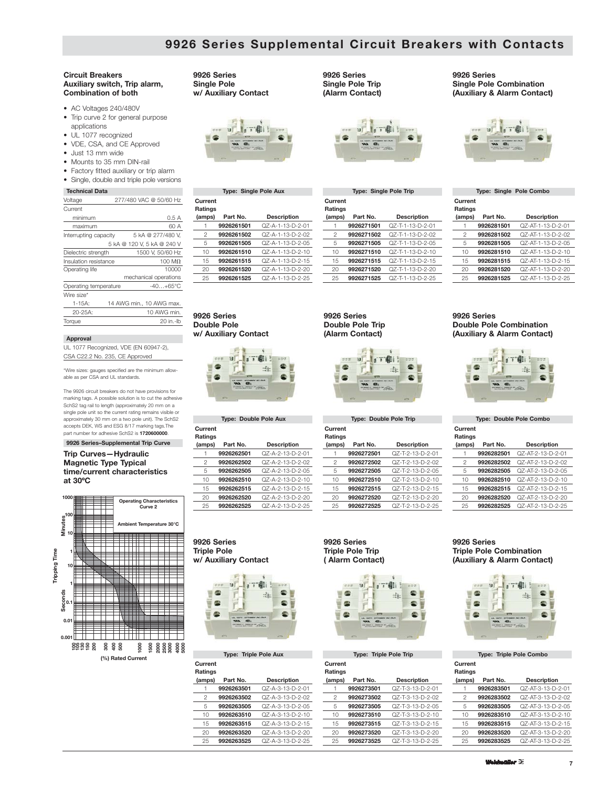## **9926 Series Supplemental Circuit Breakers with Contacts**

#### **Circuit Breakers Auxiliary switch, Trip alarm, Combination of both**

- AC Voltages 240/480V
- Trip curve 2 for general purpose applications
- UL 1077 recognized
- VDE, CSA, and CE Approved
- Just 13 mm wide
- Mounts to 35 mm DIN-rail
- Factory fitted auxiliary or trip alarm
- Single, double and triple pole versions

#### **Technical Data**

| Voltage               | 277/480 VAC @ 50/60 Hz     |
|-----------------------|----------------------------|
| Current               |                            |
| minimum               | 0.5 A                      |
| maximum               | 60 A                       |
| Interrupting capacity | 5 kA @ 277/480 V.          |
|                       | 5 kA @ 120 V, 5 kA @ 240 V |
| Dielectric strength   | 1500 V, 50/60 Hz           |
| Insulation resistance | 100 $M\Omega$              |
| Operating life        | 10000                      |
|                       | mechanical operations      |
| Operating temperature | $-40+65^{\circ}C$          |
| Wire size*            |                            |
| $1 - 15A$ :           | 14 AWG min., 10 AWG max.   |
| $20 - 25A$            | 10 AWG min.                |
| Torque                | 20 in.-lb                  |

#### **Approval**

UL 1077 Recognized, VDE (EN 60947-2), CSA C22.2 No. 235, CE Approved

\*Wire sizes: gauges specified are the minimum allowable as per CSA and UL standards.

The 9926 circuit breakers do not have provisions for marking tags. A possible solution is to cut the adhesive SchS2 tag rail to length (approximately 20 mm on a single pole unit so the current rating remains visible or approximately 30 mm on a two pole unit). The SchS2 accepts DEK, WS and ESG 8/17 marking tags.The part number for adhesive SchS2 is **1720600000**.

#### **Trip Curves—Hydraulic 9926 Series–Supplemental Trip Curve**

**Magnetic Type Typical time/current characteristics at 30ºC**



**(%) Rated Current**

#### **9926 Series Single Pole w/ Auxiliary Contact**



|                           | <b>Type: Single Pole Aux</b> |                    |
|---------------------------|------------------------------|--------------------|
| Current<br><b>Ratings</b> |                              |                    |
| (amps)                    | Part No.                     | <b>Description</b> |
|                           |                              |                    |
| 1                         | 9926261501                   | QZ-A-1-13-D-2-01   |
| 2                         | 9926261502                   | QZ-A-1-13-D-2-02   |

|    | <u>uururu iuur</u> |                  |
|----|--------------------|------------------|
| 5  | 9926261505         | QZ-A-1-13-D-2-05 |
| 10 | 9926261510         | QZ-A-1-13-D-2-10 |
| 15 | 9926261515         | QZ-A-1-13-D-2-15 |
| 20 | 9926261520         | QZ-A-1-13-D-2-20 |
| 25 | 9926261525         | QZ-A-1-13-D-2-25 |



#### **Double Pole w/ Auxiliary Contact**



#### **Type: Double Pole Aux**

| Current        |            |                    |
|----------------|------------|--------------------|
| <b>Ratings</b> |            |                    |
| (amps)         | Part No.   | <b>Description</b> |
| 1              | 9926262501 | QZ-A-2-13-D-2-01   |
| 2              | 9926262502 | QZ-A-2-13-D-2-02   |
| 5              | 9926262505 | QZ-A-2-13-D-2-05   |
| 10             | 9926262510 | QZ-A-2-13-D-2-10   |
| 15             | 9926262515 | QZ-A-2-13-D-2-15   |
| 20             | 9926262520 | QZ-A-2-13-D-2-20   |
| 25             | 9926262525 | Q7-A-2-13-D-2-25   |
|                |            |                    |

#### **9926 Series Triple Pole w/ Auxiliary Contact**



**Type: Triple Pole Aux**

| Current        |            |                    |
|----------------|------------|--------------------|
| <b>Ratings</b> |            |                    |
| (amps)         | Part No.   | <b>Description</b> |
| 1              | 9926263501 | QZ-A-3-13-D-2-01   |
| 2              | 9926263502 | QZ-A-3-13-D-2-02   |
| 5              | 9926263505 | QZ-A-3-13-D-2-05   |
| 10             | 9926263510 | QZ-A-3-13-D-2-10   |
| 15             | 9926263515 | QZ-A-3-13-D-2-15   |
| 20             | 9926263520 | QZ-A-3-13-D-2-20   |
| 25             | 9926263525 | QZ-A-3-13-D-2-25   |
|                |            |                    |

**9926 Series Single Pole Trip (Alarm Contact)**



|                           | <b>Type: Single Pole Trip</b> |                    |
|---------------------------|-------------------------------|--------------------|
| Current<br><b>Ratings</b> |                               |                    |
| (amps)                    | Part No.                      | <b>Description</b> |
| 1                         | 9926271501                    | QZ-T-1-13-D-2-01   |
| 2                         | 9926271502                    | QZ-T-1-13-D-2-02   |
| 5                         | 9926271505                    | QZ-T-1-13-D-2-05   |
| 10                        | 9926271510                    | QZ-T-1-13-D-2-10   |
| 15                        | 9926271515                    | QZ-T-1-13-D-2-15   |
| 20                        | 9926271520                    | QZ-T-1-13-D-2-20   |

25 **9926271525** QZ-T-1-13-D-2-25

٠

¢

 $-32$ 

**Type: Double Pole Trip**

**(amps) Part No. Description 9926272501** QZ-T-2-13-D-2-01 **9926272502** QZ-T-2-13-D-2-02 **9926272505** QZ-T-2-13-D-2-05 **9926272510** QZ-T-2-13-D-2-10 **9926272515** QZ-T-2-13-D-2-15 **9926272520** QZ-T-2-13-D-2-20 **9926272525** QZ-T-2-13-D-2-25

**Current Ratings**

**9926 Series**

**9926 Series Double Pole Trip (Alarm Contact)**

 $\bullet$ 

 $\bullet$ 

# **(Auxiliary & Alarm Contact)**

**Single Pole Combination**

**9926 Series**



|         |            | Type: Single Pole Combo |
|---------|------------|-------------------------|
| Current |            |                         |
| Ratings |            |                         |
|         |            |                         |
| (amps)  | Part No.   | <b>Description</b>      |
|         | 9926281501 | QZ-AT-1-13-D-2-01       |

| 2  | 9926281502 | QZ-AT-1-13-D-2-02 |
|----|------------|-------------------|
| 5  | 9926281505 | QZ-AT-1-13-D-2-05 |
| 10 | 9926281510 | QZ-AT-1-13-D-2-10 |
| 15 | 9926281515 | QZ-AT-1-13-D-2-15 |
| 20 | 9926281520 | QZ-AT-1-13-D-2-20 |
| 25 | 9926281525 | QZ-AT-1-13-D-2-25 |

#### **9926 Series Double Pole Combination (Auxiliary & Alarm Contact)**



**Type: Double Pole Combo**

## **Current**

| <b>Ratings</b> |            |                    |
|----------------|------------|--------------------|
| (amps)         | Part No.   | <b>Description</b> |
|                | 9926282501 | QZ-AT-2-13-D-2-01  |
| 2              | 9926282502 | QZ-AT-2-13-D-2-02  |
| 5              | 9926282505 | QZ-AT-2-13-D-2-05  |
| 10             | 9926282510 | QZ-AT-2-13-D-2-10  |
| 15             | 9926282515 | QZ-AT-2-13-D-2-15  |
| 20             | 9926282520 | QZ-AT-2-13-D-2-20  |
| 25             | 9926282525 | QZ-AT-2-13-D-2-25  |
|                |            |                    |

## **Triple Pole Trip ( Alarm Contact)**



**Type: Triple Pole Trip**

| Current<br>Ratinɑs<br>(amps) | Part No.   | <b>Description</b> |
|------------------------------|------------|--------------------|
|                              | 9926273501 | QZ-T-3-13-D-2-01   |
| 2                            | 9926273502 | QZ-T-3-13-D-2-02   |
| 5                            | 9926273505 | QZ-T-3-13-D-2-05   |
| 10                           | 9926273510 | QZ-T-3-13-D-2-10   |
| 15                           | 9926273515 | QZ-T-3-13-D-2-15   |
| 20                           | 9926273520 | QZ-T-3-13-D-2-20   |
| 25                           | 9926273525 | QZ-T-3-13-D-2-25   |

#### **9926 Series Triple Pole Combination (Auxiliary & Alarm Contact)**



#### **Type: Triple Pole Combo Current**

#### **Ratings (amps) Part No. Description** 1 **9926283501** QZ-AT-3-13-D-2-01 2 **9926283502** QZ-AT-3-13-D-2-02 5 **9926283505** QZ-AT-3-13-D-2-05 10 **9926283510** QZ-AT-3-13-D-2-10 15 **9926283515** QZ-AT-3-13-D-2-15 20 **9926283520** QZ-AT-3-13-D-2-20

25 **9926283525** QZ-AT-3-13-D-2-25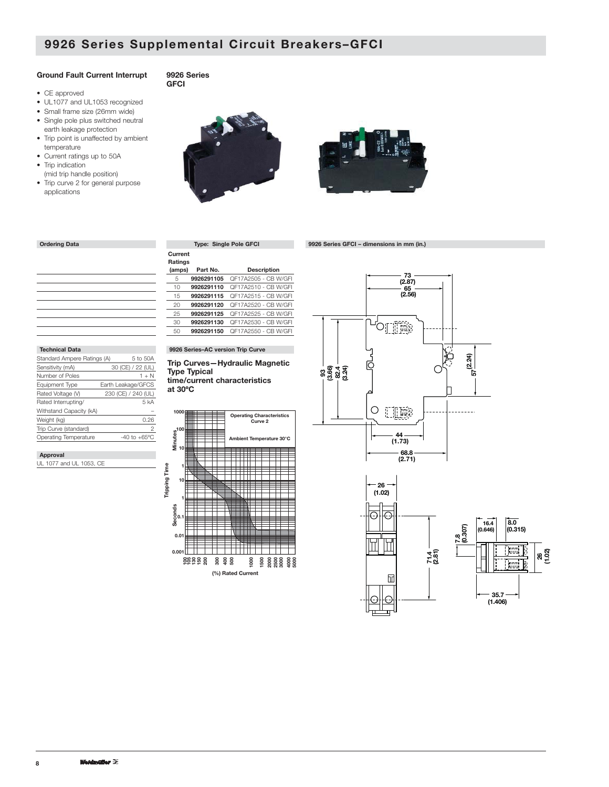## **9926 Series Supplemental Circuit Breakers–GFCI**

**9926 Series GFCI**

#### **Ground Fault Current Interrupt**

#### • CE approved

- UL1077 and UL1053 recognized
- Small frame size (26mm wide)
- Single pole plus switched neutral
- earth leakage protection • Trip point is unaffected by ambient
- temperature • Current ratings up to 50A
- Trip indication (mid trip handle position)
- Trip curve 2 for general purpose applications





## **Type: Single Pole GFCI**

#### **Current Ratings**

| (amps) | Part No.   | <b>Description</b>   |
|--------|------------|----------------------|
| 5      | 9926291105 | QF17A2505 - CB W/GFI |
| 10     | 9926291110 | QF17A2510 - CB W/GFI |
| 15     | 9926291115 | QF17A2515 - CB W/GFI |
| 20     | 9926291120 | QF17A2520 - CB W/GFI |
| 25     | 9926291125 | QF17A2525 - CB W/GFI |
| 30     | 9926291130 | QF17A2530 - CB W/GFI |
| 50     | 9926291150 | QF17A2550 - CB W/GFI |
|        |            |                      |

**9926 Series–AC version Trip Curve**

#### **Trip Curves—Hydraulic Magnetic Type Typical time/current characteristics at 30ºC**



**9926 Series GFCI – dimensions in mm (in.)**





**Ordering Data**

#### **Technical Data**

| Standard Ampere Ratings (A) | 5 to 50A                 |
|-----------------------------|--------------------------|
| Sensitivity (mA)            | 30 (CE) / 22 (UL)        |
| Number of Poles             | $1 + N$                  |
| Equipment Type              | Earth Leakage/GFCS       |
| Rated Voltage (V)           | 230 (CE) / 240 (UL)      |
| Rated Interrupting/         | 5 <sub>kA</sub>          |
| Withstand Capacity (kA)     |                          |
| Weight (kg)                 | 0.26                     |
| Trip Curve (standard)       | $\overline{c}$           |
| Operating Temperature       | $-40$ to $+65^{\circ}$ C |

**Approval**

UL 1077 and UL 1053, CE